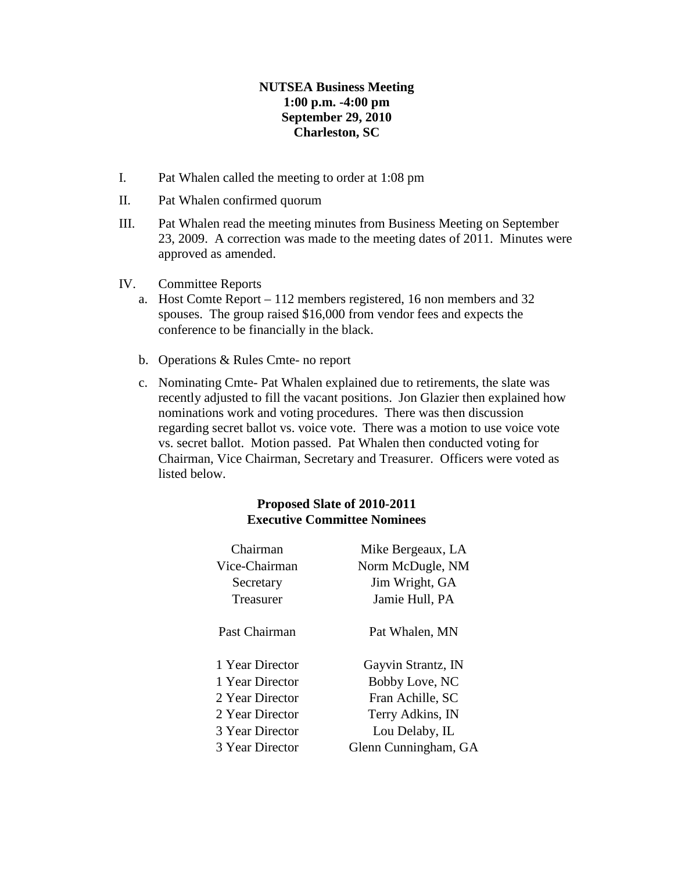# **NUTSEA Business Meeting 1:00 p.m. -4:00 pm September 29, 2010 Charleston, SC**

- I. Pat Whalen called the meeting to order at 1:08 pm
- II. Pat Whalen confirmed quorum
- III. Pat Whalen read the meeting minutes from Business Meeting on September 23, 2009. A correction was made to the meeting dates of 2011. Minutes were approved as amended.
- IV. Committee Reports
	- a. Host Comte Report 112 members registered, 16 non members and 32 spouses. The group raised \$16,000 from vendor fees and expects the conference to be financially in the black.
	- b. Operations & Rules Cmte- no report
	- c. Nominating Cmte- Pat Whalen explained due to retirements, the slate was recently adjusted to fill the vacant positions. Jon Glazier then explained how nominations work and voting procedures. There was then discussion regarding secret ballot vs. voice vote. There was a motion to use voice vote vs. secret ballot. Motion passed. Pat Whalen then conducted voting for Chairman, Vice Chairman, Secretary and Treasurer. Officers were voted as listed below.

## **Proposed Slate of 2010-2011 Executive Committee Nominees**

| Chairman        | Mike Bergeaux, LA    |
|-----------------|----------------------|
| Vice-Chairman   | Norm McDugle, NM     |
| Secretary       | Jim Wright, GA       |
| Treasurer       | Jamie Hull, PA       |
| Past Chairman   | Pat Whalen, MN       |
| 1 Year Director | Gayvin Strantz, IN   |
| 1 Year Director | Bobby Love, NC       |
| 2 Year Director | Fran Achille, SC     |
| 2 Year Director | Terry Adkins, IN     |
| 3 Year Director | Lou Delaby, IL       |
| 3 Year Director | Glenn Cunningham, GA |
|                 |                      |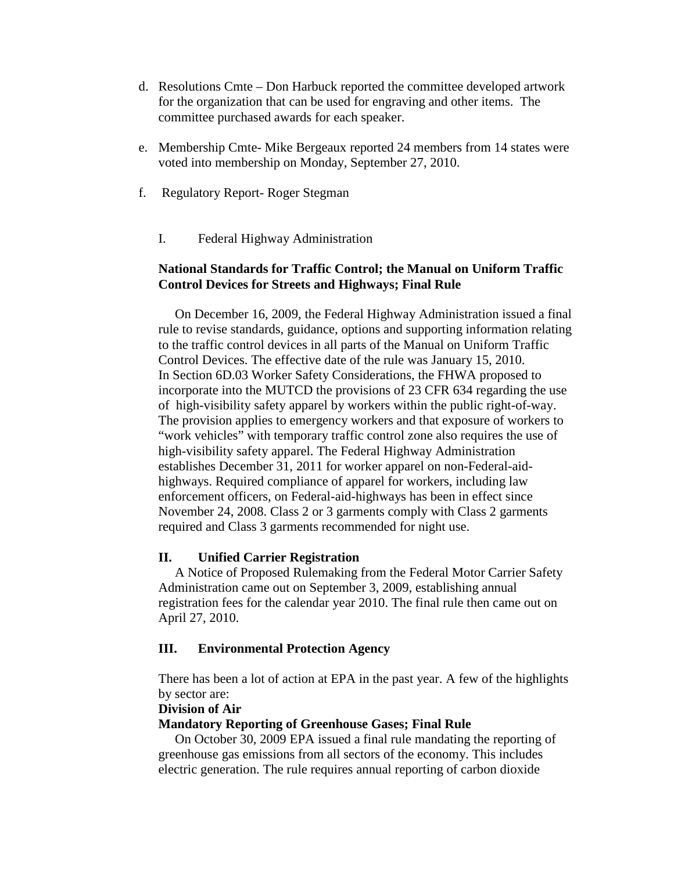- d. Resolutions Cmte Don Harbuck reported the committee developed artwork for the organization that can be used for engraving and other items. The committee purchased awards for each speaker.
- e. Membership Cmte- Mike Bergeaux reported 24 members from 14 states were voted into membership on Monday, September 27, 2010.
- f. Regulatory Report- Roger Stegman
	- I. Federal Highway Administration

# **National Standards for Traffic Control; the Manual on Uniform Traffic Control Devices for Streets and Highways; Final Rule**

 On December 16, 2009, the Federal Highway Administration issued a final rule to revise standards, guidance, options and supporting information relating to the traffic control devices in all parts of the Manual on Uniform Traffic Control Devices. The effective date of the rule was January 15, 2010. In Section 6D.03 Worker Safety Considerations, the FHWA proposed to incorporate into the MUTCD the provisions of 23 CFR 634 regarding the use of high-visibility safety apparel by workers within the public right-of-way. The provision applies to emergency workers and that exposure of workers to "work vehicles" with temporary traffic control zone also requires the use of high-visibility safety apparel. The Federal Highway Administration establishes December 31, 2011 for worker apparel on non-Federal-aidhighways. Required compliance of apparel for workers, including law enforcement officers, on Federal-aid-highways has been in effect since November 24, 2008. Class 2 or 3 garments comply with Class 2 garments required and Class 3 garments recommended for night use.

# **II. Unified Carrier Registration**

 A Notice of Proposed Rulemaking from the Federal Motor Carrier Safety Administration came out on September 3, 2009, establishing annual registration fees for the calendar year 2010. The final rule then came out on April 27, 2010.

# **III. Environmental Protection Agency**

There has been a lot of action at EPA in the past year. A few of the highlights by sector are:

# **Division of Air**

## **Mandatory Reporting of Greenhouse Gases; Final Rule**

 On October 30, 2009 EPA issued a final rule mandating the reporting of greenhouse gas emissions from all sectors of the economy. This includes electric generation. The rule requires annual reporting of carbon dioxide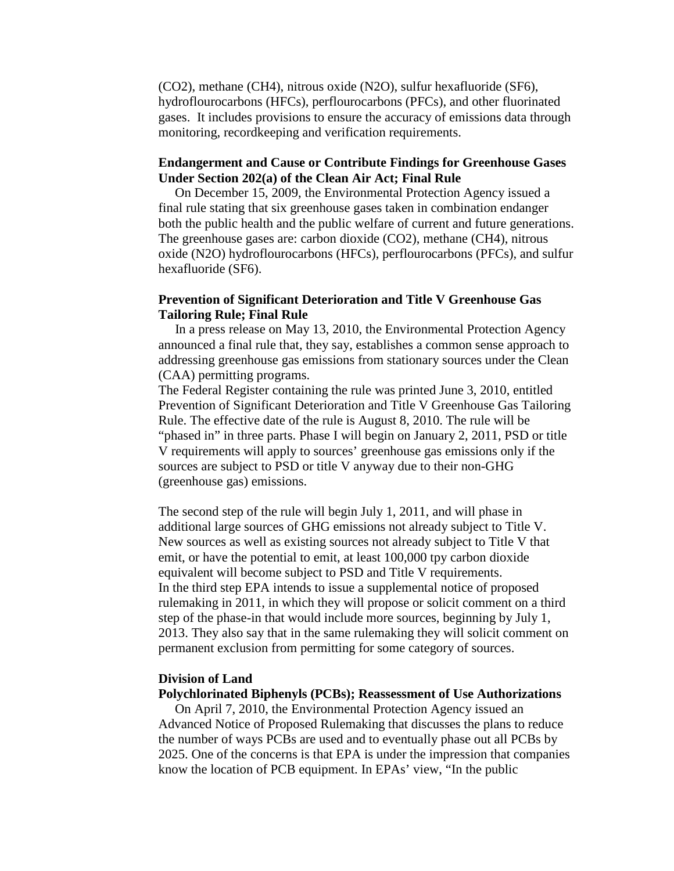(CO2), methane (CH4), nitrous oxide (N2O), sulfur hexafluoride (SF6), hydroflourocarbons (HFCs), perflourocarbons (PFCs), and other fluorinated gases. It includes provisions to ensure the accuracy of emissions data through monitoring, recordkeeping and verification requirements.

## **Endangerment and Cause or Contribute Findings for Greenhouse Gases Under Section 202(a) of the Clean Air Act; Final Rule**

 On December 15, 2009, the Environmental Protection Agency issued a final rule stating that six greenhouse gases taken in combination endanger both the public health and the public welfare of current and future generations. The greenhouse gases are: carbon dioxide (CO2), methane (CH4), nitrous oxide (N2O) hydroflourocarbons (HFCs), perflourocarbons (PFCs), and sulfur hexafluoride (SF6).

## **Prevention of Significant Deterioration and Title V Greenhouse Gas Tailoring Rule; Final Rule**

 In a press release on May 13, 2010, the Environmental Protection Agency announced a final rule that, they say, establishes a common sense approach to addressing greenhouse gas emissions from stationary sources under the Clean (CAA) permitting programs.

The Federal Register containing the rule was printed June 3, 2010, entitled Prevention of Significant Deterioration and Title V Greenhouse Gas Tailoring Rule. The effective date of the rule is August 8, 2010. The rule will be "phased in" in three parts. Phase I will begin on January 2, 2011, PSD or title V requirements will apply to sources' greenhouse gas emissions only if the sources are subject to PSD or title V anyway due to their non-GHG (greenhouse gas) emissions.

The second step of the rule will begin July 1, 2011, and will phase in additional large sources of GHG emissions not already subject to Title V. New sources as well as existing sources not already subject to Title V that emit, or have the potential to emit, at least 100,000 tpy carbon dioxide equivalent will become subject to PSD and Title V requirements. In the third step EPA intends to issue a supplemental notice of proposed rulemaking in 2011, in which they will propose or solicit comment on a third step of the phase-in that would include more sources, beginning by July 1, 2013. They also say that in the same rulemaking they will solicit comment on permanent exclusion from permitting for some category of sources.

#### **Division of Land**

#### **Polychlorinated Biphenyls (PCBs); Reassessment of Use Authorizations**

 On April 7, 2010, the Environmental Protection Agency issued an Advanced Notice of Proposed Rulemaking that discusses the plans to reduce the number of ways PCBs are used and to eventually phase out all PCBs by 2025. One of the concerns is that EPA is under the impression that companies know the location of PCB equipment. In EPAs' view, "In the public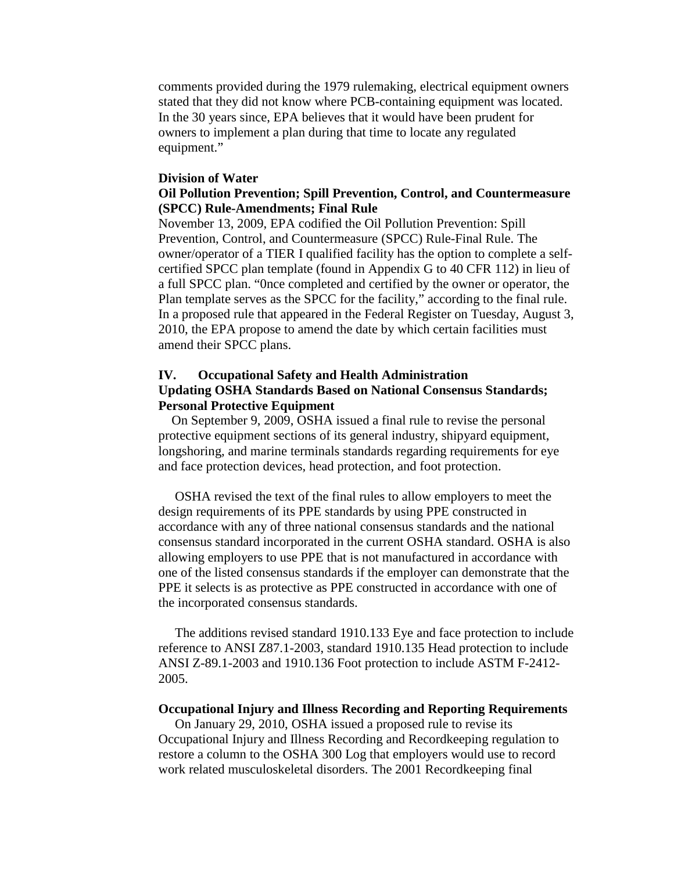comments provided during the 1979 rulemaking, electrical equipment owners stated that they did not know where PCB-containing equipment was located. In the 30 years since, EPA believes that it would have been prudent for owners to implement a plan during that time to locate any regulated equipment."

### **Division of Water**

## **Oil Pollution Prevention; Spill Prevention, Control, and Countermeasure (SPCC) Rule-Amendments; Final Rule**

November 13, 2009, EPA codified the Oil Pollution Prevention: Spill Prevention, Control, and Countermeasure (SPCC) Rule-Final Rule. The owner/operator of a TIER I qualified facility has the option to complete a selfcertified SPCC plan template (found in Appendix G to 40 CFR 112) in lieu of a full SPCC plan. "0nce completed and certified by the owner or operator, the Plan template serves as the SPCC for the facility," according to the final rule. In a proposed rule that appeared in the Federal Register on Tuesday, August 3, 2010, the EPA propose to amend the date by which certain facilities must amend their SPCC plans.

# **IV. Occupational Safety and Health Administration Updating OSHA Standards Based on National Consensus Standards; Personal Protective Equipment**

 On September 9, 2009, OSHA issued a final rule to revise the personal protective equipment sections of its general industry, shipyard equipment, longshoring, and marine terminals standards regarding requirements for eye and face protection devices, head protection, and foot protection.

 OSHA revised the text of the final rules to allow employers to meet the design requirements of its PPE standards by using PPE constructed in accordance with any of three national consensus standards and the national consensus standard incorporated in the current OSHA standard. OSHA is also allowing employers to use PPE that is not manufactured in accordance with one of the listed consensus standards if the employer can demonstrate that the PPE it selects is as protective as PPE constructed in accordance with one of the incorporated consensus standards.

 The additions revised standard 1910.133 Eye and face protection to include reference to ANSI Z87.1-2003, standard 1910.135 Head protection to include ANSI Z-89.1-2003 and 1910.136 Foot protection to include ASTM F-2412- 2005.

### **Occupational Injury and Illness Recording and Reporting Requirements**

 On January 29, 2010, OSHA issued a proposed rule to revise its Occupational Injury and Illness Recording and Recordkeeping regulation to restore a column to the OSHA 300 Log that employers would use to record work related musculoskeletal disorders. The 2001 Recordkeeping final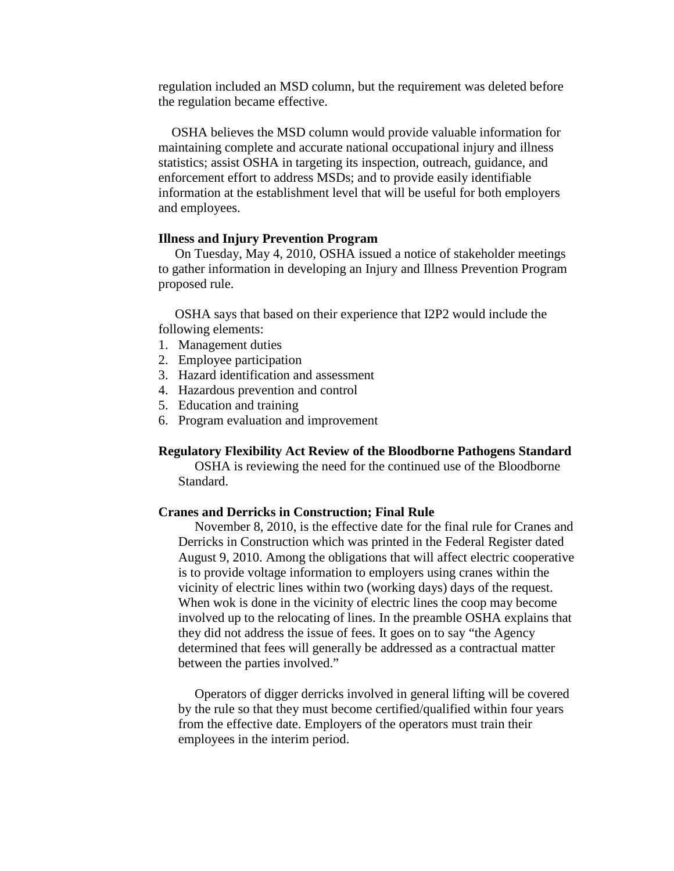regulation included an MSD column, but the requirement was deleted before the regulation became effective.

 OSHA believes the MSD column would provide valuable information for maintaining complete and accurate national occupational injury and illness statistics; assist OSHA in targeting its inspection, outreach, guidance, and enforcement effort to address MSDs; and to provide easily identifiable information at the establishment level that will be useful for both employers and employees.

### **Illness and Injury Prevention Program**

 On Tuesday, May 4, 2010, OSHA issued a notice of stakeholder meetings to gather information in developing an Injury and Illness Prevention Program proposed rule.

 OSHA says that based on their experience that I2P2 would include the following elements:

- 1. Management duties
- 2. Employee participation
- 3. Hazard identification and assessment
- 4. Hazardous prevention and control
- 5. Education and training
- 6. Program evaluation and improvement

#### **Regulatory Flexibility Act Review of the Bloodborne Pathogens Standard**

 OSHA is reviewing the need for the continued use of the Bloodborne Standard.

#### **Cranes and Derricks in Construction; Final Rule**

 November 8, 2010, is the effective date for the final rule for Cranes and Derricks in Construction which was printed in the Federal Register dated August 9, 2010. Among the obligations that will affect electric cooperative is to provide voltage information to employers using cranes within the vicinity of electric lines within two (working days) days of the request. When wok is done in the vicinity of electric lines the coop may become involved up to the relocating of lines. In the preamble OSHA explains that they did not address the issue of fees. It goes on to say "the Agency determined that fees will generally be addressed as a contractual matter between the parties involved."

 Operators of digger derricks involved in general lifting will be covered by the rule so that they must become certified/qualified within four years from the effective date. Employers of the operators must train their employees in the interim period.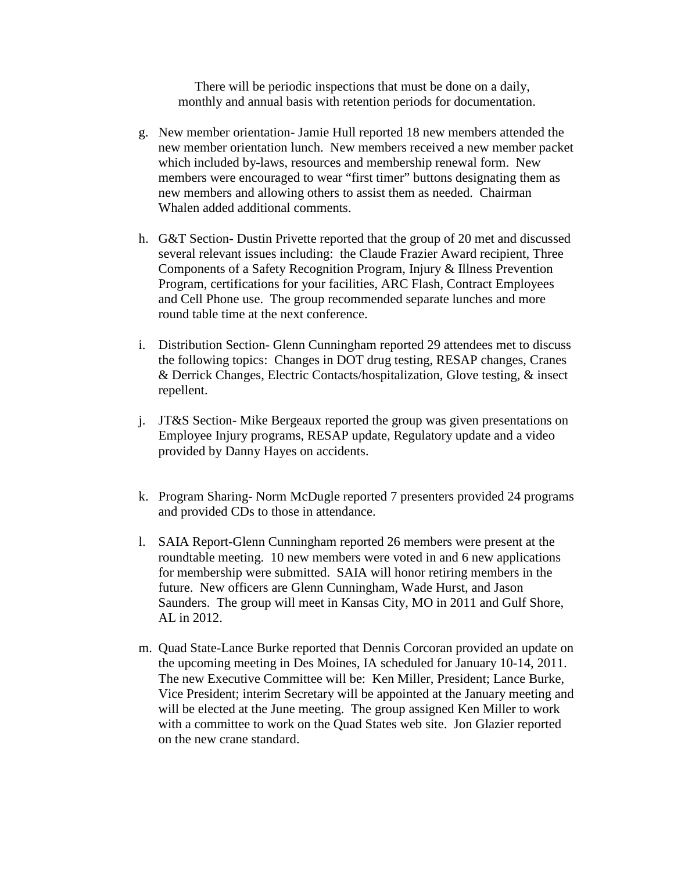There will be periodic inspections that must be done on a daily, monthly and annual basis with retention periods for documentation.

- g. New member orientation- Jamie Hull reported 18 new members attended the new member orientation lunch. New members received a new member packet which included by-laws, resources and membership renewal form. New members were encouraged to wear "first timer" buttons designating them as new members and allowing others to assist them as needed. Chairman Whalen added additional comments.
- h. G&T Section- Dustin Privette reported that the group of 20 met and discussed several relevant issues including: the Claude Frazier Award recipient, Three Components of a Safety Recognition Program, Injury & Illness Prevention Program, certifications for your facilities, ARC Flash, Contract Employees and Cell Phone use. The group recommended separate lunches and more round table time at the next conference.
- i. Distribution Section- Glenn Cunningham reported 29 attendees met to discuss the following topics: Changes in DOT drug testing, RESAP changes, Cranes & Derrick Changes, Electric Contacts/hospitalization, Glove testing, & insect repellent.
- j. JT&S Section- Mike Bergeaux reported the group was given presentations on Employee Injury programs, RESAP update, Regulatory update and a video provided by Danny Hayes on accidents.
- k. Program Sharing- Norm McDugle reported 7 presenters provided 24 programs and provided CDs to those in attendance.
- l. SAIA Report-Glenn Cunningham reported 26 members were present at the roundtable meeting. 10 new members were voted in and 6 new applications for membership were submitted. SAIA will honor retiring members in the future. New officers are Glenn Cunningham, Wade Hurst, and Jason Saunders. The group will meet in Kansas City, MO in 2011 and Gulf Shore, AL in 2012.
- m. Quad State-Lance Burke reported that Dennis Corcoran provided an update on the upcoming meeting in Des Moines, IA scheduled for January 10-14, 2011. The new Executive Committee will be: Ken Miller, President; Lance Burke, Vice President; interim Secretary will be appointed at the January meeting and will be elected at the June meeting. The group assigned Ken Miller to work with a committee to work on the Quad States web site. Jon Glazier reported on the new crane standard.